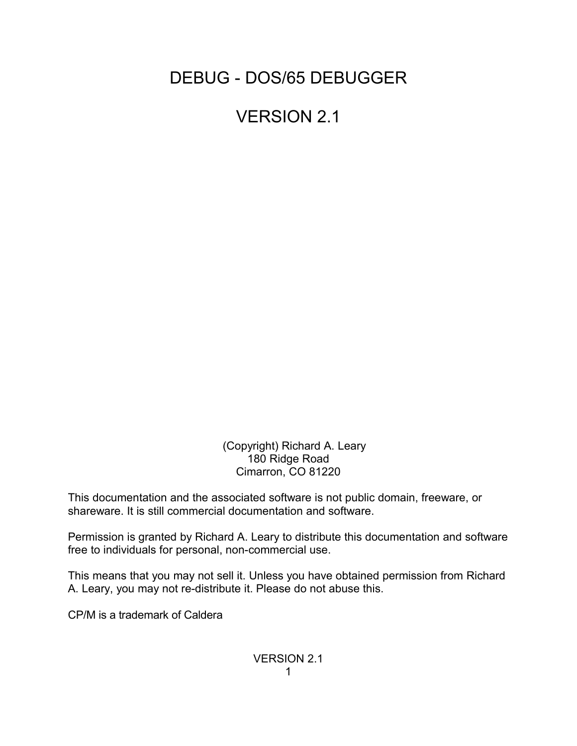DEBUG - DOS/65 DEBUGGER

VERSION 2.1

 (Copyright) Richard A. Leary 180 Ridge Road Cimarron, CO 81220

This documentation and the associated software is not public domain, freeware, or shareware. It is still commercial documentation and software.

Permission is granted by Richard A. Leary to distribute this documentation and software free to individuals for personal, non-commercial use.

This means that you may not sell it. Unless you have obtained permission from Richard A. Leary, you may not re-distribute it. Please do not abuse this.

CP/M is a trademark of Caldera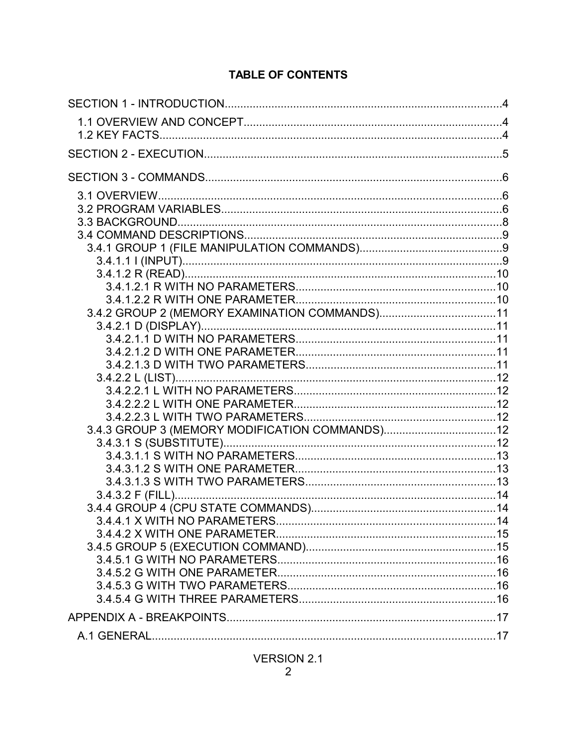# **TABLE OF CONTENTS**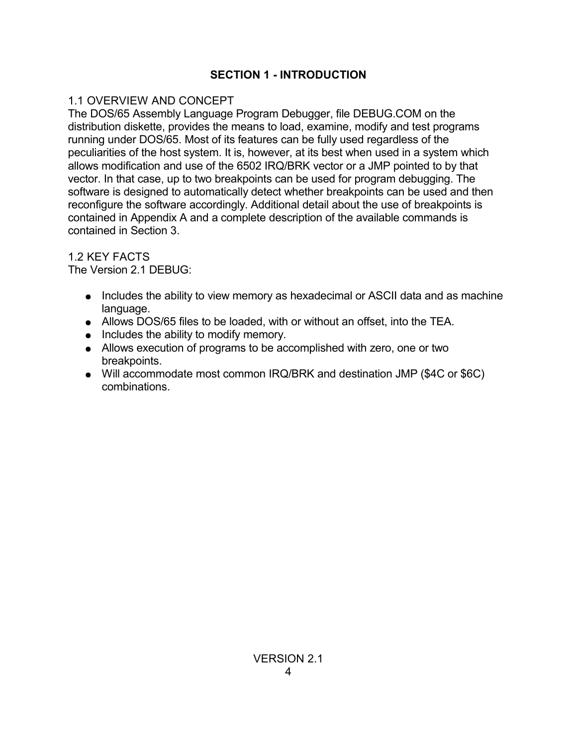## **SECTION 1 - INTRODUCTION**

## 1.1 OVERVIEW AND CONCEPT

The DOS/65 Assembly Language Program Debugger, file DEBUG.COM on the distribution diskette, provides the means to load, examine, modify and test programs running under DOS/65. Most of its features can be fully used regardless of the peculiarities of the host system. It is, however, at its best when used in a system which allows modification and use of the 6502 IRQ/BRK vector or a JMP pointed to by that vector. In that case, up to two breakpoints can be used for program debugging. The software is designed to automatically detect whether breakpoints can be used and then reconfigure the software accordingly. Additional detail about the use of breakpoints is contained in Appendix A and a complete description of the available commands is contained in Section 3.

1.2 KEY FACTS

The Version 2.1 DEBUG:

- Includes the ability to view memory as hexadecimal or ASCII data and as machine language.
- Allows DOS/65 files to be loaded, with or without an offset, into the TEA.
- Includes the ability to modify memory.
- Allows execution of programs to be accomplished with zero, one or two breakpoints.
- Will accommodate most common IRQ/BRK and destination JMP (\$4C or \$6C) combinations.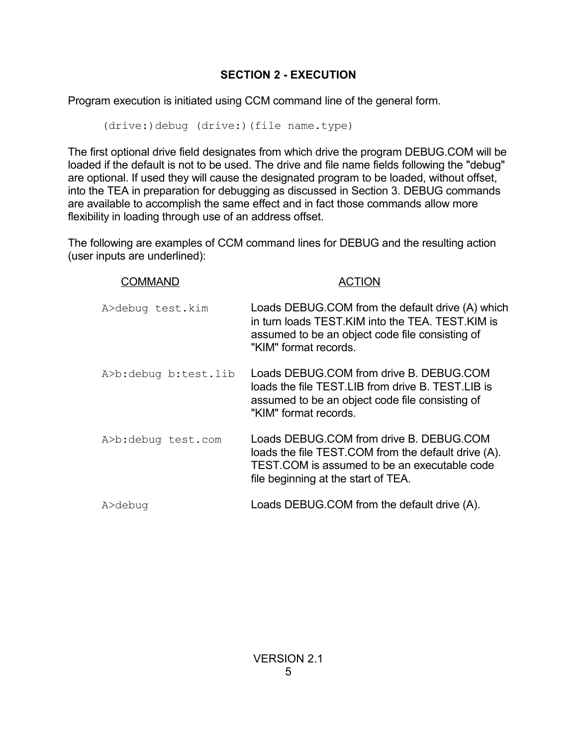# **SECTION 2 - EXECUTION**

Program execution is initiated using CCM command line of the general form.

(drive:)debug (drive:)(file name.type)

The first optional drive field designates from which drive the program DEBUG.COM will be loaded if the default is not to be used. The drive and file name fields following the "debug" are optional. If used they will cause the designated program to be loaded, without offset, into the TEA in preparation for debugging as discussed in Section 3. DEBUG commands are available to accomplish the same effect and in fact those commands allow more flexibility in loading through use of an address offset.

The following are examples of CCM command lines for DEBUG and the resulting action (user inputs are underlined):

| IMANI )              |                                                                                                                                                                                       |
|----------------------|---------------------------------------------------------------------------------------------------------------------------------------------------------------------------------------|
| A>debug test.kim     | Loads DEBUG.COM from the default drive (A) which<br>in turn loads TEST. KIM into the TEA. TEST. KIM is<br>assumed to be an object code file consisting of<br>"KIM" format records.    |
| A>b:debug b:test.lib | Loads DEBUG.COM from drive B. DEBUG.COM<br>loads the file TEST LIB from drive B. TEST LIB is<br>assumed to be an object code file consisting of<br>"KIM" format records.              |
| A>b:debug test.com   | Loads DEBUG.COM from drive B. DEBUG.COM<br>loads the file TEST.COM from the default drive (A).<br>TEST.COM is assumed to be an executable code<br>file beginning at the start of TEA. |
| A>debug              | Loads DEBUG.COM from the default drive (A).                                                                                                                                           |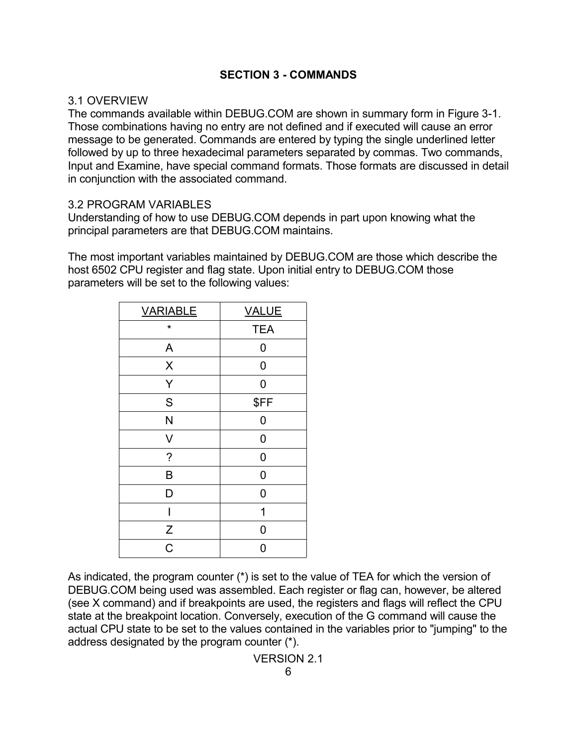### **SECTION 3 - COMMANDS**

#### 3.1 OVERVIEW

The commands available within DEBUG.COM are shown in summary form in Figure 3-1. Those combinations having no entry are not defined and if executed will cause an error message to be generated. Commands are entered by typing the single underlined letter followed by up to three hexadecimal parameters separated by commas. Two commands, Input and Examine, have special command formats. Those formats are discussed in detail in conjunction with the associated command.

#### 3.2 PROGRAM VARIABLES

Understanding of how to use DEBUG.COM depends in part upon knowing what the principal parameters are that DEBUG.COM maintains.

The most important variables maintained by DEBUG.COM are those which describe the host 6502 CPU register and flag state. Upon initial entry to DEBUG.COM those parameters will be set to the following values:

| <b>VARIABLE</b>    | <b>VALUE</b> |
|--------------------|--------------|
| $\star$            | <b>TEA</b>   |
| A                  | 0            |
| $\pmb{\mathsf{X}}$ | $\mathbf 0$  |
| Y                  | 0            |
| S                  | \$FF         |
| N                  | 0            |
| V                  | 0            |
| $\tilde{?}$        | 0            |
| B                  | 0            |
| D                  | 0            |
| I                  | 1            |
| Z                  | 0            |
| $\overline{C}$     | 0            |

As indicated, the program counter (\*) is set to the value of TEA for which the version of DEBUG.COM being used was assembled. Each register or flag can, however, be altered (see X command) and if breakpoints are used, the registers and flags will reflect the CPU state at the breakpoint location. Conversely, execution of the G command will cause the actual CPU state to be set to the values contained in the variables prior to "jumping" to the address designated by the program counter (\*).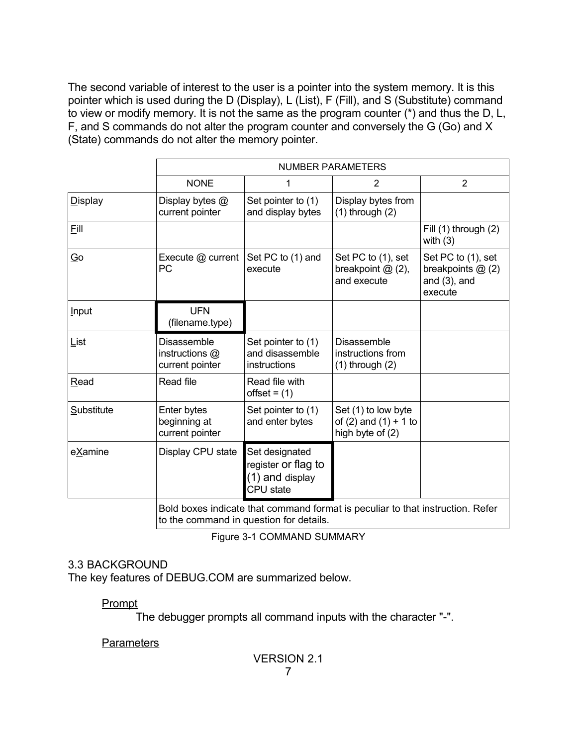The second variable of interest to the user is a pointer into the system memory. It is this pointer which is used during the D (Display), L (List), F (Fill), and S (Substitute) command to view or modify memory. It is not the same as the program counter (\*) and thus the D, L, F, and S commands do not alter the program counter and conversely the G (Go) and X (State) commands do not alter the memory pointer.

|                          | <b>NUMBER PARAMETERS</b>                                                                                                  |                                                                       |                                                                        |                                                                       |
|--------------------------|---------------------------------------------------------------------------------------------------------------------------|-----------------------------------------------------------------------|------------------------------------------------------------------------|-----------------------------------------------------------------------|
|                          | <b>NONE</b>                                                                                                               | 1                                                                     | $\overline{2}$                                                         | $\overline{2}$                                                        |
| <b>Display</b>           | Display bytes @<br>current pointer                                                                                        | Set pointer to (1)<br>and display bytes                               | Display bytes from<br>$(1)$ through $(2)$                              |                                                                       |
| Eill                     |                                                                                                                           |                                                                       |                                                                        | Fill (1) through (2)<br>with $(3)$                                    |
| $\overline{\mathsf{Go}}$ | Execute @ current<br>PC                                                                                                   | Set PC to (1) and<br>execute                                          | Set PC to (1), set<br>breakpoint $@(2),$<br>and execute                | Set PC to (1), set<br>breakpoints @ (2)<br>and $(3)$ , and<br>execute |
| <b>Input</b>             | <b>UFN</b><br>(filename.type)                                                                                             |                                                                       |                                                                        |                                                                       |
| List                     | Disassemble<br>instructions @<br>current pointer                                                                          | Set pointer to (1)<br>and disassemble<br>instructions                 | Disassemble<br>instructions from<br>$(1)$ through $(2)$                |                                                                       |
| Read                     | Read file                                                                                                                 | Read file with<br>$offset = (1)$                                      |                                                                        |                                                                       |
| Substitute               | Enter bytes<br>beginning at<br>current pointer                                                                            | Set pointer to (1)<br>and enter bytes                                 | Set (1) to low byte<br>of $(2)$ and $(1) + 1$ to<br>high byte of $(2)$ |                                                                       |
| eXamine                  | Display CPU state                                                                                                         | Set designated<br>register or flag to<br>(1) and display<br>CPU state |                                                                        |                                                                       |
|                          | Bold boxes indicate that command format is peculiar to that instruction. Refer<br>to the command in question for details. |                                                                       |                                                                        |                                                                       |

Figure 3-1 COMMAND SUMMARY

## 3.3 BACKGROUND

The key features of DEBUG.COM are summarized below.

Prompt

The debugger prompts all command inputs with the character "-".

## **Parameters**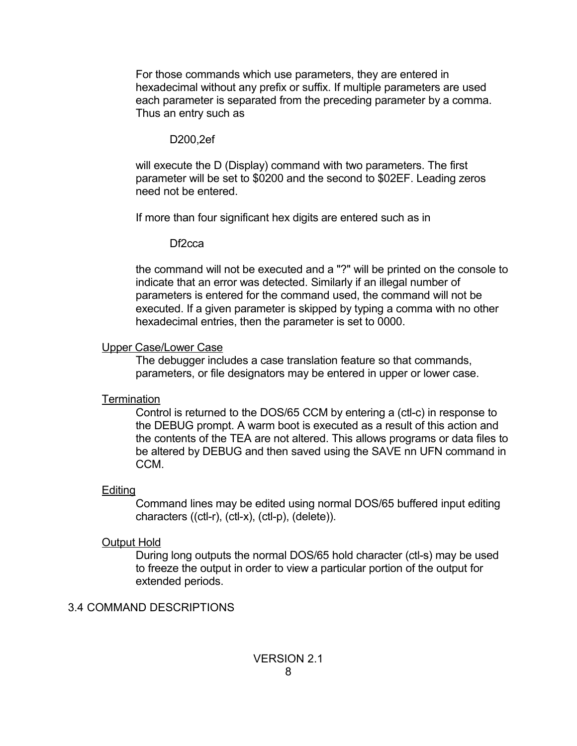For those commands which use parameters, they are entered in hexadecimal without any prefix or suffix. If multiple parameters are used each parameter is separated from the preceding parameter by a comma. Thus an entry such as

#### D200,2ef

will execute the D (Display) command with two parameters. The first parameter will be set to \$0200 and the second to \$02EF. Leading zeros need not be entered.

If more than four significant hex digits are entered such as in

### Df2cca

the command will not be executed and a "?" will be printed on the console to indicate that an error was detected. Similarly if an illegal number of parameters is entered for the command used, the command will not be executed. If a given parameter is skipped by typing a comma with no other hexadecimal entries, then the parameter is set to 0000.

### Upper Case/Lower Case

The debugger includes a case translation feature so that commands, parameters, or file designators may be entered in upper or lower case.

## **Termination**

Control is returned to the DOS/65 CCM by entering a (ctl-c) in response to the DEBUG prompt. A warm boot is executed as a result of this action and the contents of the TEA are not altered. This allows programs or data files to be altered by DEBUG and then saved using the SAVE nn UFN command in CCM.

## **Editing**

Command lines may be edited using normal DOS/65 buffered input editing characters ((ctl-r), (ctl-x), (ctl-p), (delete)).

# Output Hold

During long outputs the normal DOS/65 hold character (ctl-s) may be used to freeze the output in order to view a particular portion of the output for extended periods.

## 3.4 COMMAND DESCRIPTIONS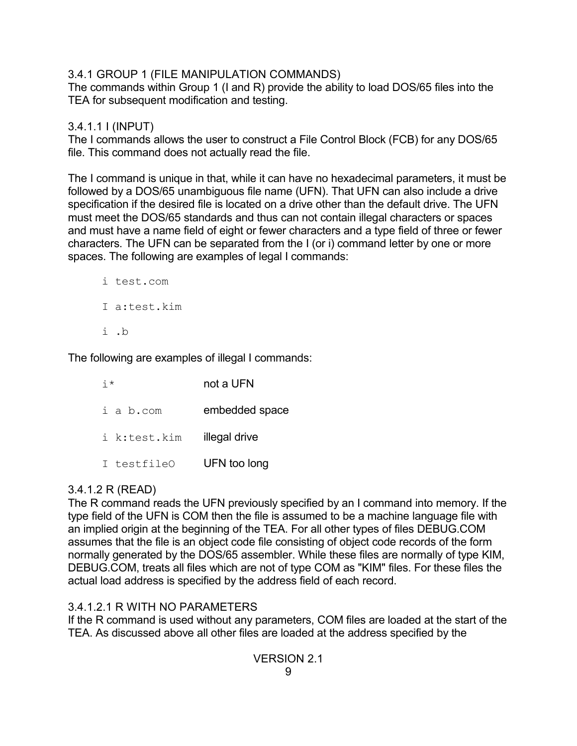## 3.4.1 GROUP 1 (FILE MANIPULATION COMMANDS)

The commands within Group 1 (I and R) provide the ability to load DOS/65 files into the TEA for subsequent modification and testing.

## 3.4.1.1 I (INPUT)

The I commands allows the user to construct a File Control Block (FCB) for any DOS/65 file. This command does not actually read the file.

The I command is unique in that, while it can have no hexadecimal parameters, it must be followed by a DOS/65 unambiguous file name (UFN). That UFN can also include a drive specification if the desired file is located on a drive other than the default drive. The UFN must meet the DOS/65 standards and thus can not contain illegal characters or spaces and must have a name field of eight or fewer characters and a type field of three or fewer characters. The UFN can be separated from the I (or i) command letter by one or more spaces. The following are examples of legal I commands:

i test.com I a:test.kim i .b

The following are examples of illegal I commands:

| $\frac{1}{1}$ * | not a UFN      |  |
|-----------------|----------------|--|
| i a b.com       | embedded space |  |
| i k:test.kim    | illegal drive  |  |
| I testfileO     | UFN too long   |  |

# 3.4.1.2 R (READ)

The R command reads the UFN previously specified by an I command into memory. If the type field of the UFN is COM then the file is assumed to be a machine language file with an implied origin at the beginning of the TEA. For all other types of files DEBUG.COM assumes that the file is an object code file consisting of object code records of the form normally generated by the DOS/65 assembler. While these files are normally of type KIM, DEBUG.COM, treats all files which are not of type COM as "KIM" files. For these files the actual load address is specified by the address field of each record.

# 3.4.1.2.1 R WITH NO PARAMETERS

If the R command is used without any parameters, COM files are loaded at the start of the TEA. As discussed above all other files are loaded at the address specified by the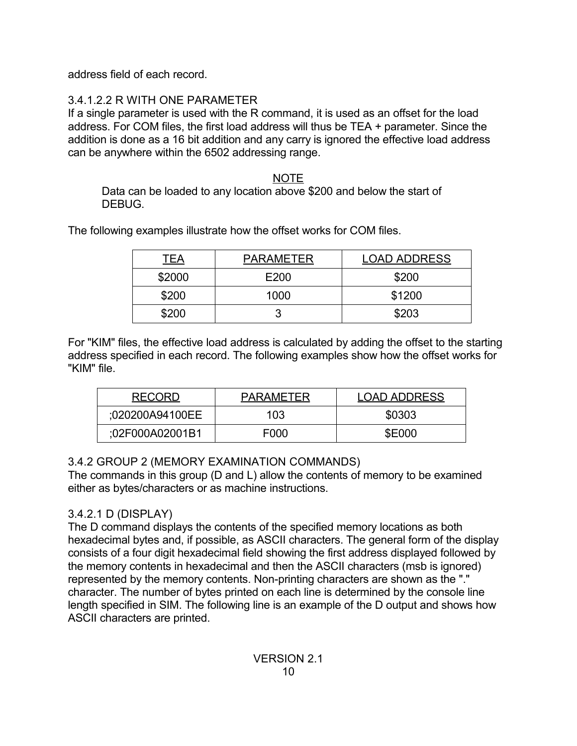address field of each record.

# 3.4.1.2.2 R WITH ONE PARAMETER

If a single parameter is used with the R command, it is used as an offset for the load address. For COM files, the first load address will thus be TEA + parameter. Since the addition is done as a 16 bit addition and any carry is ignored the effective load address can be anywhere within the 6502 addressing range.

## NOTE

Data can be loaded to any location above \$200 and below the start of DEBUG.

The following examples illustrate how the offset works for COM files.

| <u>TEA</u> | <b>PARAMETER</b> | <b>LOAD ADDRESS</b> |
|------------|------------------|---------------------|
| \$2000     | E200             | \$200               |
| \$200      | 1000             | \$1200              |
| \$200      |                  | \$203               |

For "KIM" files, the effective load address is calculated by adding the offset to the starting address specified in each record. The following examples show how the offset works for "KIM" file.

| <b>RECORD</b>   | <b>PARAMETER</b> | <b>LOAD ADDRESS</b> |
|-----------------|------------------|---------------------|
| :020200A94100EE | 103              | \$0303              |
| :02F000A02001B1 | F000             | <b>\$E000</b>       |

# 3.4.2 GROUP 2 (MEMORY EXAMINATION COMMANDS)

The commands in this group (D and L) allow the contents of memory to be examined either as bytes/characters or as machine instructions.

# 3.4.2.1 D (DISPLAY)

The D command displays the contents of the specified memory locations as both hexadecimal bytes and, if possible, as ASCII characters. The general form of the display consists of a four digit hexadecimal field showing the first address displayed followed by the memory contents in hexadecimal and then the ASCII characters (msb is ignored) represented by the memory contents. Non-printing characters are shown as the "." character. The number of bytes printed on each line is determined by the console line length specified in SIM. The following line is an example of the D output and shows how ASCII characters are printed.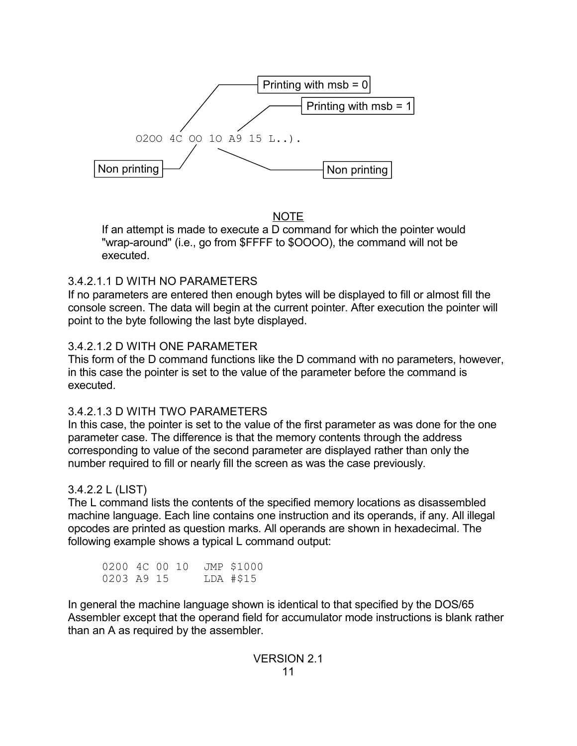

NOTE

If an attempt is made to execute a D command for which the pointer would "wrap-around" (i.e., go from \$FFFF to \$OOOO), the command will not be executed.

## 3.4.2.1.1 D WITH NO PARAMETERS

If no parameters are entered then enough bytes will be displayed to fill or almost fill the console screen. The data will begin at the current pointer. After execution the pointer will point to the byte following the last byte displayed.

## 3.4.2.1.2 D WITH ONE PARAMETER

This form of the D command functions like the D command with no parameters, however, in this case the pointer is set to the value of the parameter before the command is executed.

## 3.4.2.1.3 D WITH TWO PARAMETERS

In this case, the pointer is set to the value of the first parameter as was done for the one parameter case. The difference is that the memory contents through the address corresponding to value of the second parameter are displayed rather than only the number required to fill or nearly fill the screen as was the case previously.

## 3.4.2.2 L (LIST)

The L command lists the contents of the specified memory locations as disassembled machine language. Each line contains one instruction and its operands, if any. All illegal opcodes are printed as question marks. All operands are shown in hexadecimal. The following example shows a typical L command output:

0200 4C 00 10 JMP \$1000<br>0203 A9 15 LDA #\$15 0203 A9 15

In general the machine language shown is identical to that specified by the DOS/65 Assembler except that the operand field for accumulator mode instructions is blank rather than an A as required by the assembler.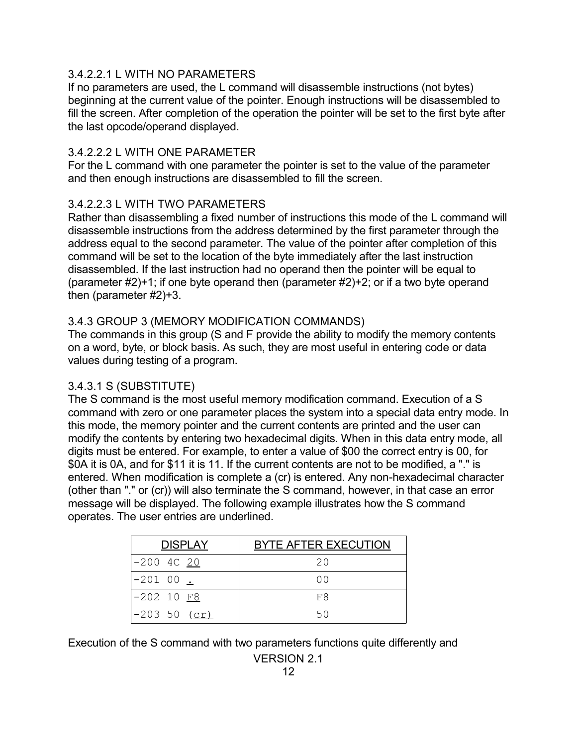### 3.4.2.2.1 L WITH NO PARAMETERS

If no parameters are used, the L command will disassemble instructions (not bytes) beginning at the current value of the pointer. Enough instructions will be disassembled to fill the screen. After completion of the operation the pointer will be set to the first byte after the last opcode/operand displayed.

## 3.4.2.2.2 L WITH ONE PARAMETER

For the L command with one parameter the pointer is set to the value of the parameter and then enough instructions are disassembled to fill the screen.

### 3.4.2.2.3 L WITH TWO PARAMETERS

Rather than disassembling a fixed number of instructions this mode of the L command will disassemble instructions from the address determined by the first parameter through the address equal to the second parameter. The value of the pointer after completion of this command will be set to the location of the byte immediately after the last instruction disassembled. If the last instruction had no operand then the pointer will be equal to (parameter #2)+1; if one byte operand then (parameter #2)+2; or if a two byte operand then (parameter #2)+3.

### 3.4.3 GROUP 3 (MEMORY MODIFICATION COMMANDS)

The commands in this group (S and F provide the ability to modify the memory contents on a word, byte, or block basis. As such, they are most useful in entering code or data values during testing of a program.

## 3.4.3.1 S (SUBSTITUTE)

The S command is the most useful memory modification command. Execution of a S command with zero or one parameter places the system into a special data entry mode. In this mode, the memory pointer and the current contents are printed and the user can modify the contents by entering two hexadecimal digits. When in this data entry mode, all digits must be entered. For example, to enter a value of \$00 the correct entry is 00, for \$0A it is 0A, and for \$11 it is 11. If the current contents are not to be modified, a "." is entered. When modification is complete a (cr) is entered. Any non-hexadecimal character (other than "." or (cr)) will also terminate the S command, however, in that case an error message will be displayed. The following example illustrates how the S command operates. The user entries are underlined.

| <b>DISPLAY</b>               | <b>BYTE AFTER EXECUTION</b> |
|------------------------------|-----------------------------|
| $-200$ 4C 20                 | 20                          |
| $-20100$ $\angle$            | O O                         |
| $-202$ 10 $F8$               | F8                          |
| $-20350 \; (\underline{cr})$ | 50                          |

Execution of the S command with two parameters functions quite differently and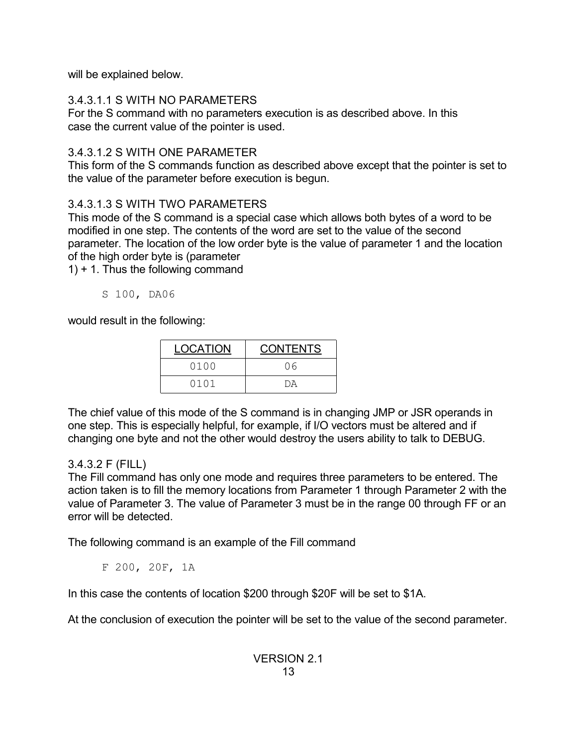will be explained below.

# 3.4.3.1.1 S WITH NO PARAMETERS

For the S command with no parameters execution is as described above. In this case the current value of the pointer is used.

# 3.4.3.1.2 S WITH ONE PARAMETER

This form of the S commands function as described above except that the pointer is set to the value of the parameter before execution is begun.

# 3.4.3.1.3 S WITH TWO PARAMETERS

This mode of the S command is a special case which allows both bytes of a word to be modified in one step. The contents of the word are set to the value of the second parameter. The location of the low order byte is the value of parameter 1 and the location of the high order byte is (parameter

1) + 1. Thus the following command

S 100, DA06

would result in the following:

| <b>LOCATION</b> | <b>CONTENTS</b> |
|-----------------|-----------------|
| 0100            | ೧೯              |
| 0101            | DА              |

The chief value of this mode of the S command is in changing JMP or JSR operands in one step. This is especially helpful, for example, if I/O vectors must be altered and if changing one byte and not the other would destroy the users ability to talk to DEBUG.

# 3.4.3.2 F (FILL)

The Fill command has only one mode and requires three parameters to be entered. The action taken is to fill the memory locations from Parameter 1 through Parameter 2 with the value of Parameter 3. The value of Parameter 3 must be in the range 00 through FF or an error will be detected.

The following command is an example of the Fill command

F 200, 20F, 1A

In this case the contents of location \$200 through \$20F will be set to \$1A.

At the conclusion of execution the pointer will be set to the value of the second parameter.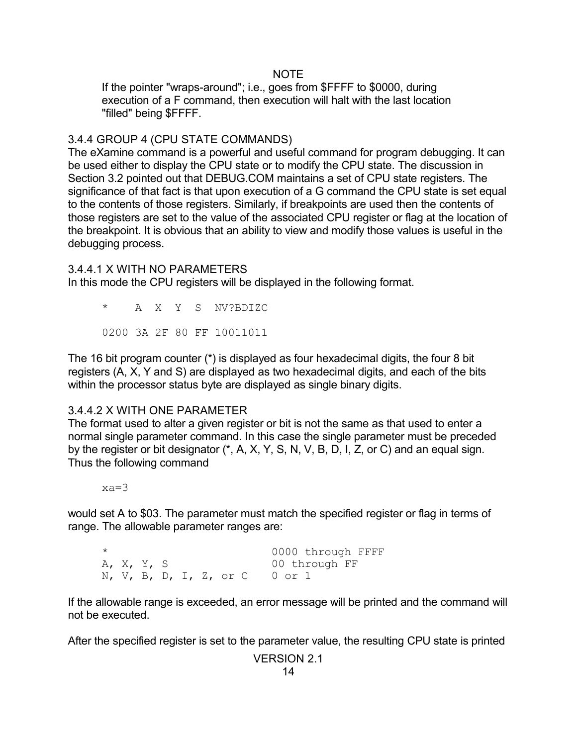#### NOTE

If the pointer "wraps-around"; i.e., goes from \$FFFF to \$0000, during execution of a F command, then execution will halt with the last location "filled" being \$FFFF.

### 3.4.4 GROUP 4 (CPU STATE COMMANDS)

The eXamine command is a powerful and useful command for program debugging. It can be used either to display the CPU state or to modify the CPU state. The discussion in Section 3.2 pointed out that DEBUG.COM maintains a set of CPU state registers. The significance of that fact is that upon execution of a G command the CPU state is set equal to the contents of those registers. Similarly, if breakpoints are used then the contents of those registers are set to the value of the associated CPU register or flag at the location of the breakpoint. It is obvious that an ability to view and modify those values is useful in the debugging process.

#### 3.4.4.1 X WITH NO PARAMETERS

In this mode the CPU registers will be displayed in the following format.

\* A X Y S NV?BDIZC 0200 3A 2F 80 FF 10011011

The 16 bit program counter (\*) is displayed as four hexadecimal digits, the four 8 bit registers (A, X, Y and S) are displayed as two hexadecimal digits, and each of the bits within the processor status byte are displayed as single binary digits.

#### 3.4.4.2 X WITH ONE PARAMETER

The format used to alter a given register or bit is not the same as that used to enter a normal single parameter command. In this case the single parameter must be preceded by the register or bit designator (\*, A, X, Y, S, N, V, B, D, I, Z, or C) and an equal sign. Thus the following command

xa=3

would set A to \$03. The parameter must match the specified register or flag in terms of range. The allowable parameter ranges are:

\* 0000 through FFFF A, X, Y, S 00 through FF N, V, B, D, I, Z, or C 0 or 1

If the allowable range is exceeded, an error message will be printed and the command will not be executed.

After the specified register is set to the parameter value, the resulting CPU state is printed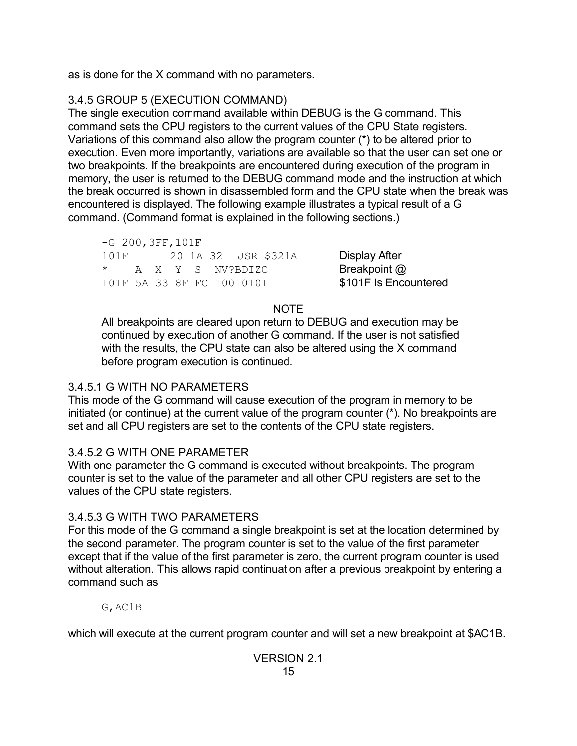as is done for the X command with no parameters.

# 3.4.5 GROUP 5 (EXECUTION COMMAND)

The single execution command available within DEBUG is the G command. This command sets the CPU registers to the current values of the CPU State registers. Variations of this command also allow the program counter (\*) to be altered prior to execution. Even more importantly, variations are available so that the user can set one or two breakpoints. If the breakpoints are encountered during execution of the program in memory, the user is returned to the DEBUG command mode and the instruction at which the break occurred is shown in disassembled form and the CPU state when the break was encountered is displayed. The following example illustrates a typical result of a G command. (Command format is explained in the following sections.)

-G 200,3FF,101F 101F 20 1A 32 JSR \$321A Display After \* A X Y S NV?BDIZC **Breakpoint @** 101F 5A 33 8F FC 10010101 **\$101F Is Encountered** 

## **NOTE**

All breakpoints are cleared upon return to DEBUG and execution may be continued by execution of another G command. If the user is not satisfied with the results, the CPU state can also be altered using the X command before program execution is continued.

# 3.4.5.1 G WITH NO PARAMETERS

This mode of the G command will cause execution of the program in memory to be initiated (or continue) at the current value of the program counter (\*). No breakpoints are set and all CPU registers are set to the contents of the CPU state registers.

# 3.4.5.2 G WITH ONE PARAMETER

With one parameter the G command is executed without breakpoints. The program counter is set to the value of the parameter and all other CPU registers are set to the values of the CPU state registers.

# 3.4.5.3 G WITH TWO PARAMETERS

For this mode of the G command a single breakpoint is set at the location determined by the second parameter. The program counter is set to the value of the first parameter except that if the value of the first parameter is zero, the current program counter is used without alteration. This allows rapid continuation after a previous breakpoint by entering a command such as

G,AC1B

which will execute at the current program counter and will set a new breakpoint at \$AC1B.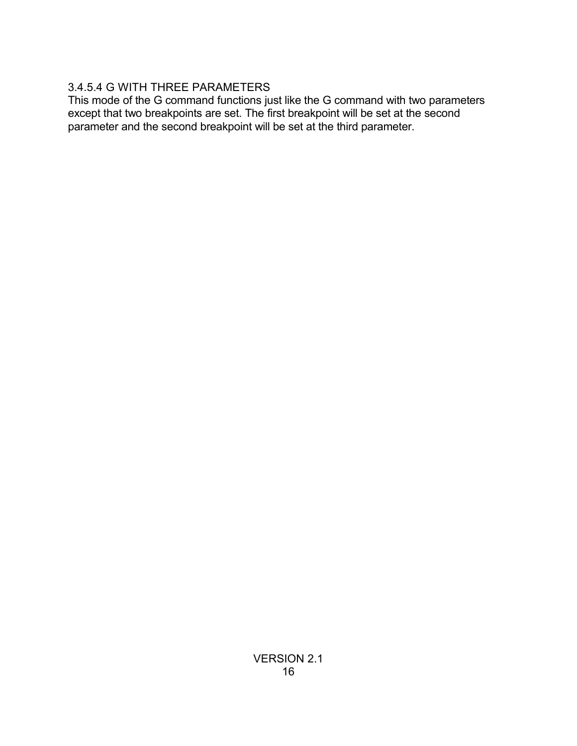# 3.4.5.4 G WITH THREE PARAMETERS

This mode of the G command functions just like the G command with two parameters except that two breakpoints are set. The first breakpoint will be set at the second parameter and the second breakpoint will be set at the third parameter.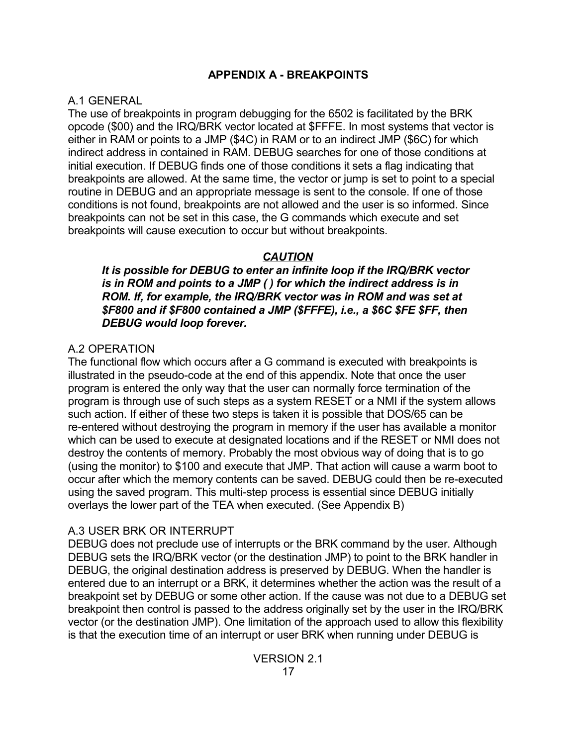## **APPENDIX A - BREAKPOINTS**

#### A.1 GENERAL

The use of breakpoints in program debugging for the 6502 is facilitated by the BRK opcode (\$00) and the IRQ/BRK vector located at \$FFFE. In most systems that vector is either in RAM or points to a JMP (\$4C) in RAM or to an indirect JMP (\$6C) for which indirect address in contained in RAM. DEBUG searches for one of those conditions at initial execution. If DEBUG finds one of those conditions it sets a flag indicating that breakpoints are allowed. At the same time, the vector or jump is set to point to a special routine in DEBUG and an appropriate message is sent to the console. If one of those conditions is not found, breakpoints are not allowed and the user is so informed. Since breakpoints can not be set in this case, the G commands which execute and set breakpoints will cause execution to occur but without breakpoints.

## *CAUTION*

*It is possible for DEBUG to enter an infinite loop if the IRQ/BRK vector is in ROM and points to a JMP ( ) for which the indirect address is in ROM. If, for example, the IRQ/BRK vector was in ROM and was set at \$F800 and if \$F800 contained a JMP (\$FFFE), i.e., a \$6C \$FE \$FF, then DEBUG would loop forever.*

## A.2 OPERATION

The functional flow which occurs after a G command is executed with breakpoints is illustrated in the pseudo-code at the end of this appendix. Note that once the user program is entered the only way that the user can normally force termination of the program is through use of such steps as a system RESET or a NMI if the system allows such action. If either of these two steps is taken it is possible that DOS/65 can be re-entered without destroying the program in memory if the user has available a monitor which can be used to execute at designated locations and if the RESET or NMI does not destroy the contents of memory. Probably the most obvious way of doing that is to go (using the monitor) to \$100 and execute that JMP. That action will cause a warm boot to occur after which the memory contents can be saved. DEBUG could then be re-executed using the saved program. This multi-step process is essential since DEBUG initially overlays the lower part of the TEA when executed. (See Appendix B)

## A.3 USER BRK OR INTERRUPT

DEBUG does not preclude use of interrupts or the BRK command by the user. Although DEBUG sets the IRQ/BRK vector (or the destination JMP) to point to the BRK handler in DEBUG, the original destination address is preserved by DEBUG. When the handler is entered due to an interrupt or a BRK, it determines whether the action was the result of a breakpoint set by DEBUG or some other action. If the cause was not due to a DEBUG set breakpoint then control is passed to the address originally set by the user in the IRQ/BRK vector (or the destination JMP). One limitation of the approach used to allow this flexibility is that the execution time of an interrupt or user BRK when running under DEBUG is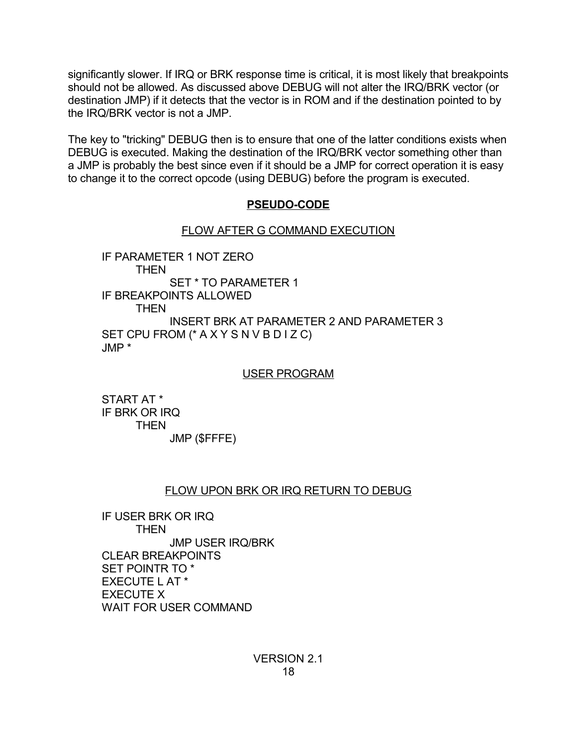significantly slower. If IRQ or BRK response time is critical, it is most likely that breakpoints should not be allowed. As discussed above DEBUG will not alter the IRQ/BRK vector (or destination JMP) if it detects that the vector is in ROM and if the destination pointed to by the IRQ/BRK vector is not a JMP.

The key to "tricking" DEBUG then is to ensure that one of the latter conditions exists when DEBUG is executed. Making the destination of the IRQ/BRK vector something other than a JMP is probably the best since even if it should be a JMP for correct operation it is easy to change it to the correct opcode (using DEBUG) before the program is executed.

## **PSEUDO-CODE**

## FLOW AFTER G COMMAND EXECUTION

IF PARAMETER 1 NOT ZERO **THEN** SET \* TO PARAMETER 1 IF BREAKPOINTS ALLOWED THEN INSERT BRK AT PARAMETER 2 AND PARAMETER 3 SET CPU FROM (\* A X Y S N V B D I Z C) JMP \*

#### USER PROGRAM

START AT \* IF BRK OR IRQ THEN JMP (\$FFFE)

## FLOW UPON BRK OR IRQ RETURN TO DEBUG

IF USER BRK OR IRQ THEN JMP USER IRQ/BRK CLEAR BREAKPOINTS SET POINTR TO \* EXECUTE L AT \* EXECUTE X WAIT FOR USER COMMAND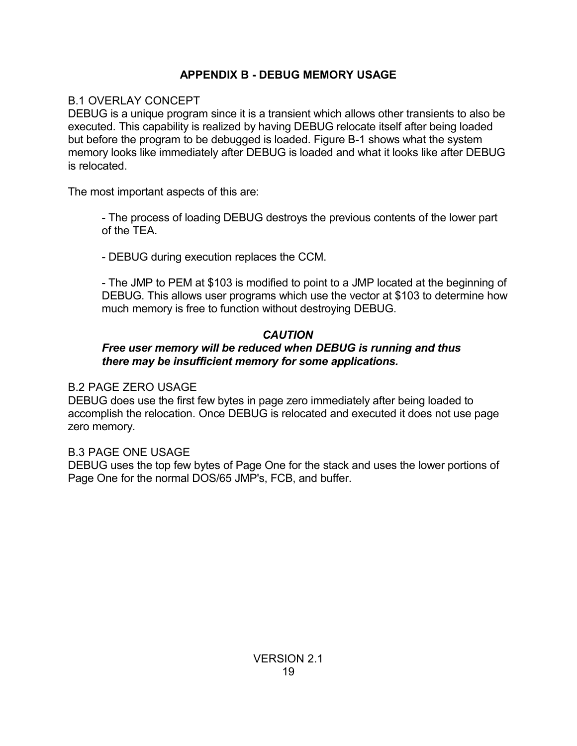# **APPENDIX B - DEBUG MEMORY USAGE**

## B.1 OVERLAY CONCEPT

DEBUG is a unique program since it is a transient which allows other transients to also be executed. This capability is realized by having DEBUG relocate itself after being loaded but before the program to be debugged is loaded. Figure B-1 shows what the system memory looks like immediately after DEBUG is loaded and what it looks like after DEBUG is relocated.

The most important aspects of this are:

- The process of loading DEBUG destroys the previous contents of the lower part of the TEA.

- DEBUG during execution replaces the CCM.

- The JMP to PEM at \$103 is modified to point to a JMP located at the beginning of DEBUG. This allows user programs which use the vector at \$103 to determine how much memory is free to function without destroying DEBUG.

## *CAUTION*

## *Free user memory will be reduced when DEBUG is running and thus there may be insufficient memory for some applications.*

## B.2 PAGE ZERO USAGE

DEBUG does use the first few bytes in page zero immediately after being loaded to accomplish the relocation. Once DEBUG is relocated and executed it does not use page zero memory.

## B.3 PAGE ONE USAGE

DEBUG uses the top few bytes of Page One for the stack and uses the lower portions of Page One for the normal DOS/65 JMP's, FCB, and buffer.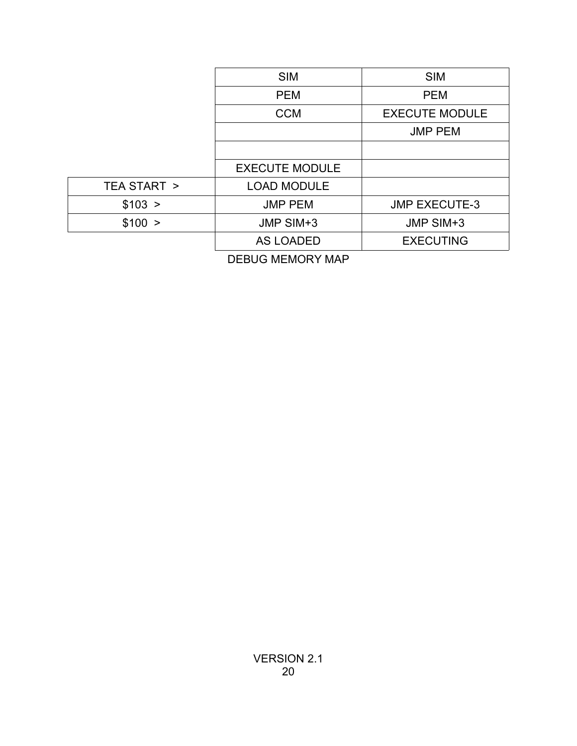|             | <b>SIM</b>            | <b>SIM</b>            |
|-------------|-----------------------|-----------------------|
|             | <b>PEM</b>            | <b>PEM</b>            |
|             | <b>CCM</b>            | <b>EXECUTE MODULE</b> |
|             |                       | <b>JMP PEM</b>        |
|             |                       |                       |
|             | <b>EXECUTE MODULE</b> |                       |
| TEA START > | <b>LOAD MODULE</b>    |                       |
| \$103 >     | <b>JMP PEM</b>        | <b>JMP EXECUTE-3</b>  |
| \$100 >     | JMP SIM+3             | JMP SIM+3             |
|             | <b>AS LOADED</b>      | <b>EXECUTING</b>      |
|             |                       |                       |

DEBUG MEMORY MAP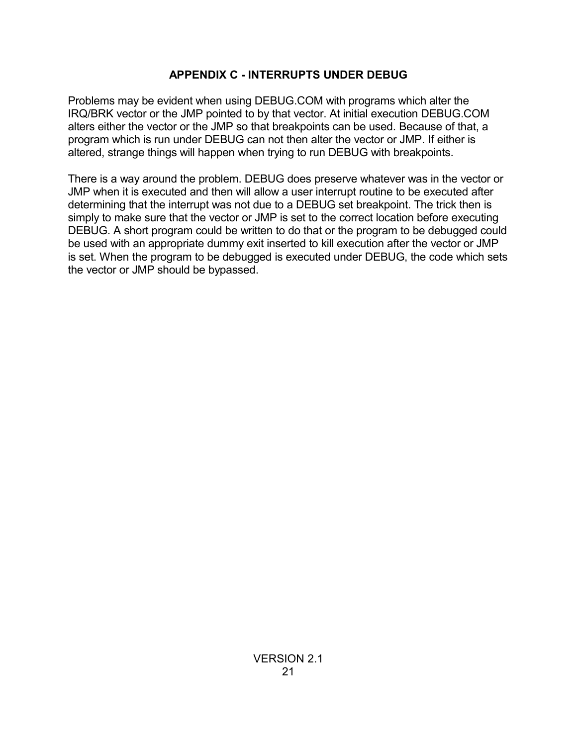## **APPENDIX C - INTERRUPTS UNDER DEBUG**

Problems may be evident when using DEBUG.COM with programs which alter the IRQ/BRK vector or the JMP pointed to by that vector. At initial execution DEBUG.COM alters either the vector or the JMP so that breakpoints can be used. Because of that, a program which is run under DEBUG can not then alter the vector or JMP. If either is altered, strange things will happen when trying to run DEBUG with breakpoints.

There is a way around the problem. DEBUG does preserve whatever was in the vector or JMP when it is executed and then will allow a user interrupt routine to be executed after determining that the interrupt was not due to a DEBUG set breakpoint. The trick then is simply to make sure that the vector or JMP is set to the correct location before executing DEBUG. A short program could be written to do that or the program to be debugged could be used with an appropriate dummy exit inserted to kill execution after the vector or JMP is set. When the program to be debugged is executed under DEBUG, the code which sets the vector or JMP should be bypassed.